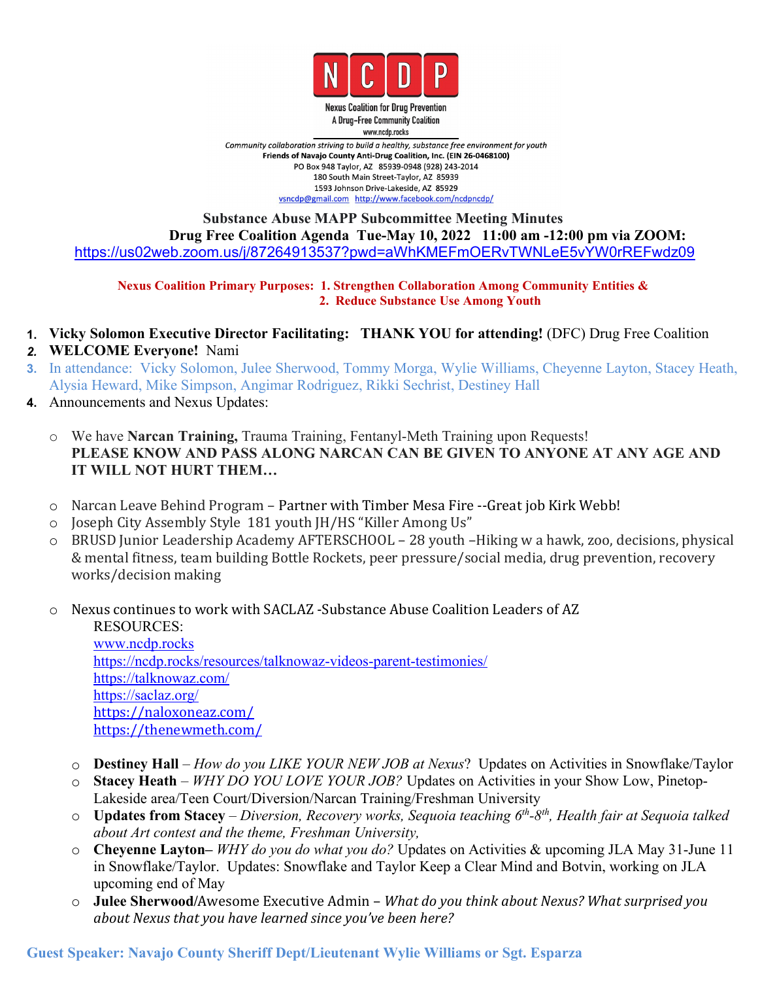

**Nexus Coalition for Drug Prevention** A Drug-Free Community Coalition www.ncdp.rocks

Community collaboration striving to build a healthy, substance free environment for youth Friends of Navajo County Anti-Drug Coalition, Inc. (EIN 26-0468100) PO Box 948 Taylor, AZ 85939-0948 (928) 243-2014 180 South Main Street-Taylor, AZ 85939 1593 Johnson Drive-Lakeside, AZ 85929 vsncdp@gmail.com http://www.facebook.com/ncdpncdp/

## **Substance Abuse MAPP Subcommittee Meeting Minutes Drug Free Coalition Agenda Tue-May 10, 2022 11:00 am -12:00 pm via ZOOM:** <https://us02web.zoom.us/j/87264913537?pwd=aWhKMEFmOERvTWNLeE5vYW0rREFwdz09>

**Nexus Coalition Primary Purposes: 1. Strengthen Collaboration Among Community Entities & 2. Reduce Substance Use Among Youth**

- **1. Vicky Solomon Executive Director Facilitating: THANK YOU for attending!** (DFC) Drug Free Coalition
- *2.* **WELCOME Everyone!** Nami
- **3.** In attendance: Vicky Solomon, Julee Sherwood, Tommy Morga, Wylie Williams, Cheyenne Layton, Stacey Heath, Alysia Heward, Mike Simpson, Angimar Rodriguez, Rikki Sechrist, Destiney Hall
- **4.** Announcements and Nexus Updates:
	- o We have **Narcan Training,** Trauma Training, Fentanyl-Meth Training upon Requests! **PLEASE KNOW AND PASS ALONG NARCAN CAN BE GIVEN TO ANYONE AT ANY AGE AND IT WILL NOT HURT THEM…**
	- o Narcan Leave Behind Program Partner with Timber Mesa Fire --Great job Kirk Webb!
	- o Joseph City Assembly Style 181 youth JH/HS "Killer Among Us"
	- o BRUSD Junior Leadership Academy AFTERSCHOOL 28 youth –Hiking w a hawk, zoo, decisions, physical & mental fitness, team building Bottle Rockets, peer pressure/social media, drug prevention, recovery works/decision making
	- o Nexus continues to work with SACLAZ -Substance Abuse Coalition Leaders of AZ

RESOURCES: [www.ncdp.rocks](http://www.ncdp.rocks) <https://ncdp.rocks/resources/talknowaz-videos-parent-testimonies/> [https://talknowaz.com/](https://www.google.com/url?q=https://talknowaz.com/&sa=D&source=calendar&usd=2&usg=AOvVaw3oaiE00kVKA5zY7O6hL5r7) [https://saclaz.org/](https://www.google.com/url?q=https://saclaz.org/&sa=D&source=calendar&usd=2&usg=AOvVaw2DJgzl5DWUkcQJ3xLlsE15) [https://naloxoneaz.com/](https://www.google.com/url?q=https://naloxoneaz.com/&sa=D&source=calendar&usd=2&usg=AOvVaw29DHHlCYkYtuf9R0VnQi-p) <https://thenewmeth.com/>

- o **Destiney Hall** *How do you LIKE YOUR NEW JOB at Nexus*? Updates on Activities in Snowflake/Taylor
- <sup>o</sup> **Stacey Heath** *WHY DO YOU LOVE YOUR JOB?* Updates on Activities in your Show Low, Pinetop- Lakeside area/Teen Court/Diversion/Narcan Training/Freshman University
- $\circ$  Updates from Stacey Diversion, Recovery works, Sequoia teaching 6<sup>th</sup>-8<sup>th</sup>, Health fair at Sequoia talked *about Art contest and the theme, Freshman University,*
- o **Cheyenne Layton–** *WHY do you do what you do?* Updates on Activities & upcoming JLA May 31-June 11 in Snowflake/Taylor. Updates: Snowflake and Taylor Keep a Clear Mind and Botvin, working on JLA upcoming end of May
- o **Julee Sherwood/**Awesome Executive Admin *What do you think about Nexus? What surprised you about Nexus that you have learned since you've been here?*